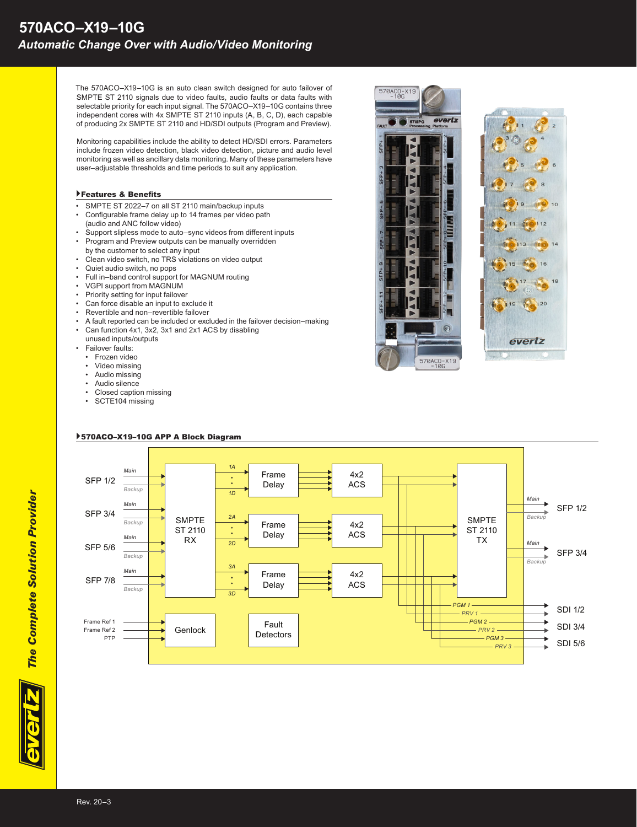The 570ACO–X19–10G is an auto clean switch designed for auto failover of SMPTE ST 2110 signals due to video faults, audio faults or data faults with selectable priority for each input signal. The 570ACO–X19–10G contains three independent cores with 4x SMPTE ST 2110 inputs (A, B, C, D), each capable of producing 2x SMPTE ST 2110 and HD/SDI outputs (Program and Preview).

Monitoring capabilities include the ability to detect HD/SDI errors. Parameters include frozen video detection, black video detection, picture and audio level monitoring as well as ancillary data monitoring. Many of these parameters have user–adjustable thresholds and time periods to suit any application.

### }Features & Benefits

- SMPTE ST 2022–7 on all ST 2110 main/backup inputs
- Configurable frame delay up to 14 frames per video path (audio and ANC follow video)
- Support slipless mode to auto–sync videos from different inputs<br>• Program and Preview outputs can be manually overridden • Program and Preview outputs can be manually overridden
- by the customer to select any input
- Clean video switch, no TRS violations on video output
- Quiet audio switch, no pops<br>• Full in–band control support
- Full in–band control support for MAGNUM routing
- VGPI support from MAGNUM<br>• Priority setting for input failove
- Priority setting for input failover
- Can force disable an input to exclude it<br>• Revertible and non-revertible failover
- Revertible and non–revertible failover
- A fault reported can be included or excluded in the failover decision–making<br>  $\frac{1}{2}$  Con function  $4x^4 2x^2 2x^4$  and  $2x^4 2x^5 = 0$  is disobling
- Can function 4x1, 3x2, 3x1 and 2x1 ACS by disabling unused inputs/outputs
- **Failover faults:**
- Frozen video
- Video missing
- Audio missing
- Audio silence
- Closed caption missing
- SCTE104 missing



20

everlz



## }570ACO–X19–10G APP A Block Diagram